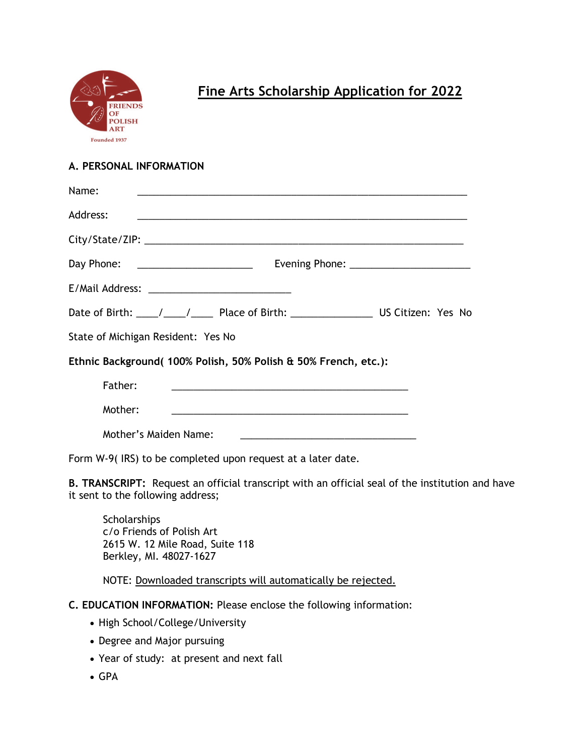

# **Fine Arts Scholarship Application for 2022**

### **A. PERSONAL INFORMATION**

| Name:                                                          |                                                                                                                                                                                                                               |  |
|----------------------------------------------------------------|-------------------------------------------------------------------------------------------------------------------------------------------------------------------------------------------------------------------------------|--|
| Address:                                                       | <u> 1989 - Andrea Andrea Andrea Andrea Andrea Andrea Andrea Andrea Andrea Andrea Andrea Andrea Andrea Andrea And</u>                                                                                                          |  |
|                                                                |                                                                                                                                                                                                                               |  |
|                                                                | Day Phone: _______________________                                                                                                                                                                                            |  |
|                                                                |                                                                                                                                                                                                                               |  |
|                                                                |                                                                                                                                                                                                                               |  |
|                                                                | State of Michigan Resident: Yes No                                                                                                                                                                                            |  |
| Ethnic Background(100% Polish, 50% Polish & 50% French, etc.): |                                                                                                                                                                                                                               |  |
| Father:                                                        |                                                                                                                                                                                                                               |  |
| Mother:                                                        | the control of the control of the control of the control of the control of the control of the control of the control of the control of the control of the control of the control of the control of the control of the control |  |
|                                                                | Mother's Maiden Name:                                                                                                                                                                                                         |  |

Form W-9( IRS) to be completed upon request at a later date.

**B. TRANSCRIPT:** Request an official transcript with an official seal of the institution and have it sent to the following address;

**Scholarships** c/o Friends of Polish Art 2615 W. 12 Mile Road, Suite 118 Berkley, MI. 48027-1627

NOTE: Downloaded transcripts will automatically be rejected.

- **C. EDUCATION INFORMATION:** Please enclose the following information:
	- High School/College/University
	- Degree and Major pursuing
	- Year of study: at present and next fall
	- GPA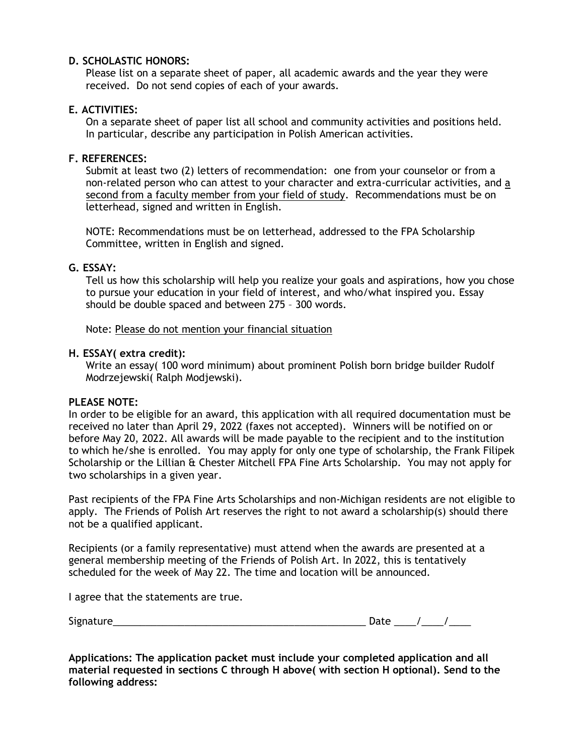### **D. SCHOLASTIC HONORS:**

Please list on a separate sheet of paper, all academic awards and the year they were received. Do not send copies of each of your awards.

## **E. ACTIVITIES:**

On a separate sheet of paper list all school and community activities and positions held. In particular, describe any participation in Polish American activities.

#### **F. REFERENCES:**

Submit at least two (2) letters of recommendation: one from your counselor or from a non-related person who can attest to your character and extra-curricular activities, and a second from a faculty member from your field of study. Recommendations must be on letterhead, signed and written in English.

NOTE: Recommendations must be on letterhead, addressed to the FPA Scholarship Committee, written in English and signed.

### **G. ESSAY:**

Tell us how this scholarship will help you realize your goals and aspirations, how you chose to pursue your education in your field of interest, and who/what inspired you. Essay should be double spaced and between 275 – 300 words.

Note: Please do not mention your financial situation

#### **H. ESSAY( extra credit):**

Write an essay( 100 word minimum) about prominent Polish born bridge builder Rudolf Modrzejewski( Ralph Modjewski).

#### **PLEASE NOTE:**

In order to be eligible for an award, this application with all required documentation must be received no later than April 29, 2022 (faxes not accepted). Winners will be notified on or before May 20, 2022. All awards will be made payable to the recipient and to the institution to which he/she is enrolled. You may apply for only one type of scholarship, the Frank Filipek Scholarship or the Lillian & Chester Mitchell FPA Fine Arts Scholarship. You may not apply for two scholarships in a given year.

Past recipients of the FPA Fine Arts Scholarships and non-Michigan residents are not eligible to apply. The Friends of Polish Art reserves the right to not award a scholarship(s) should there not be a qualified applicant.

Recipients (or a family representative) must attend when the awards are presented at a general membership meeting of the Friends of Polish Art. In 2022, this is tentatively scheduled for the week of May 22. The time and location will be announced.

I agree that the statements are true.

| - -<br>510<br>. . | -- |
|-------------------|----|
|-------------------|----|

**Applications: The application packet must include your completed application and all material requested in sections C through H above( with section H optional). Send to the following address:**